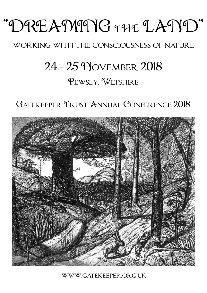# "DREAMING THE LAND"

## WORKING WITH THE CONSCIOUSNESS OF NATURE

# 24 - 25 November 2018

# Pewsey, Wiltshire

# Gatekeeper Trust Annual Conference 2018



[www.gatekeeper.org.uk](http://www.gatekeeper.org.uk)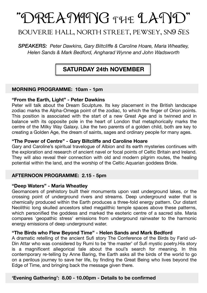# "DREAMING THE LAND"

### bouverie hall, north street, pewsey, sn9 5es

#### *SPEAKERS: Peter Dawkins, Gary Biltcliffe & Caroline Hoare, Maria Wheatley, Helen Sands & Mark Bedford, Angharad Wynne and John Wadsworth*

### **SATURDAY 24th NOVEMBER**

#### **MORNING PROGRAMME: 10am - 1pm**

#### **"From the Earth, Light" - Peter Dawkins**

Peter will talk about the Dream Sculpture. Its key placement in the British landscape zodiac marks the Alpha-Omega point of the zodiac, to which the finger of Orion points. This position is associated with the start of a new Great Age and is twinned and in balance with its opposite pole in the heart of London that metaphorically marks the centre of the Milky Way Galaxy. Like the two parents of a golden child, both are key to creating a Golden Age, the dream of saints, sages and ordinary people for many ages.

#### **"The Power of Centre" - Gary Biltcliffe and Caroline Hoare**

Gary and Caroline's spiritual travelogue of Albion and its earth mysteries continues with the exploration and research of ancient navel or focal points of Celtic Britain and Ireland. They will also reveal their connection with old and modern pilgrim routes, the healing potential within the land, and the worship of the Celtic Aquarian goddess Bride.

#### **AFTERNOON PROGRAMME: 2.15 - 5pm**

#### **"Deep Waters" - Maria Wheatley**

Geomancers of prehistory built their monuments upon vast underground lakes, or the crossing point of underground rivers and streams. Deep underground water that is chemically produced within the Earth produces a three-fold energy pattern. Our distant Neolithic long skulled ancestors sited megalithic temple spaces above these patterns, which personified the goddess and marked the esoteric centre of a sacred site. Maria compares 'geopathic stress' emissions from underground rainwater to the harmonic energy emissions of deep underground water.

#### **"The Birds who Flew Beyond Time" - Helen Sands and Mark Bedford**

A dramatic retelling of the ancient Sufi story The Conference of the Birds by Farid ud-Din Attar who was considered by Rumi to be 'the master' of Sufi mystic poetry.His story is a magnificent allegorical tale about the soul's search for meaning. In this contemporary re-telling by Anne Baring, the Earth asks all the birds of the world to go on a perilous journey to save her life, by finding the Great Being who lives beyond the Edge of Time, and bringing back the message given there.

#### **'Evening Gathering': 8.00 - 10.00pm - Details to be confirmed**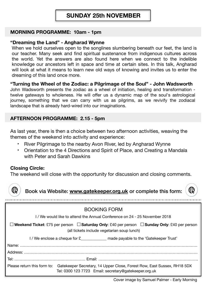### **SUNDAY 25th NOVEMBER**

#### **MORNING PROGRAMME: 10am - 1pm**

#### **"Dreaming the Land" - Angharad Wynne**

When we hold ourselves open to the songlines slumbering beneath our feet, the land is our teacher. Many seek and find spiritual sustenance from indigenous cultures across the world. Yet the answers are also found here when we connect to the indelible knowledge our ancestors left in space and time at certain sites. In this talk, Angharad will look at what it means to learn new old ways of knowing and invites us to enter the dreaming of this land once more.

#### **"Turning the Wheel of the Zodiac: a Pilgrimage of the Soul" - John Wadsworth**

John Wadsworth presents the zodiac as a wheel of initiation, healing and transformation twelve gateways to wholeness. He will offer us a dynamic map of the soul's astrological journey, something that we can carry with us as pilgrims, as we revivify the zodiacal landscape that is already hard-wired into our imaginations.

#### **AFTERNOON PROGRAMME: 2.15 - 5pm**

As last year, there is then a choice between two afternoon activities, weaving the themes of the weekend into activity and experience:

- River Pilgrimage to the nearby Avon River, led by Angharad Wynne
- Orientation to the 4 Directions and Spirit of Place, and Creating a Mandala with Peter and Sarah Dawkins

#### **Closing Circle:**

The weekend will close with the opportunity for discussion and closing comments.



Book via Website: **[www.gatekeeper.org.uk](http://www.gatekeeper.org.uk)** or complete this form:



| BOOKING FORM                                                                                                                                                 |
|--------------------------------------------------------------------------------------------------------------------------------------------------------------|
| 1/ We would like to attend the Annual Conference on 24 - 25 November 2018                                                                                    |
| $□$ Weekend Ticket: £75 per person $□$ Saturday Only: £40 per person $□$ Sunday Only: £40 per person<br>(all tickets include vegetarian soup lunch)          |
| $1$ / We enclose a cheque for $\epsilon$ made payable to the 'Gatekeeper Trust'                                                                              |
|                                                                                                                                                              |
|                                                                                                                                                              |
|                                                                                                                                                              |
| Please return this form to: Gatekeeper Secretary, 14 Upper Close, Forest Row, East Sussex, RH18 5DX<br>Tel: 0300 123 7723 Email: secretary@gatekeeper.org.uk |